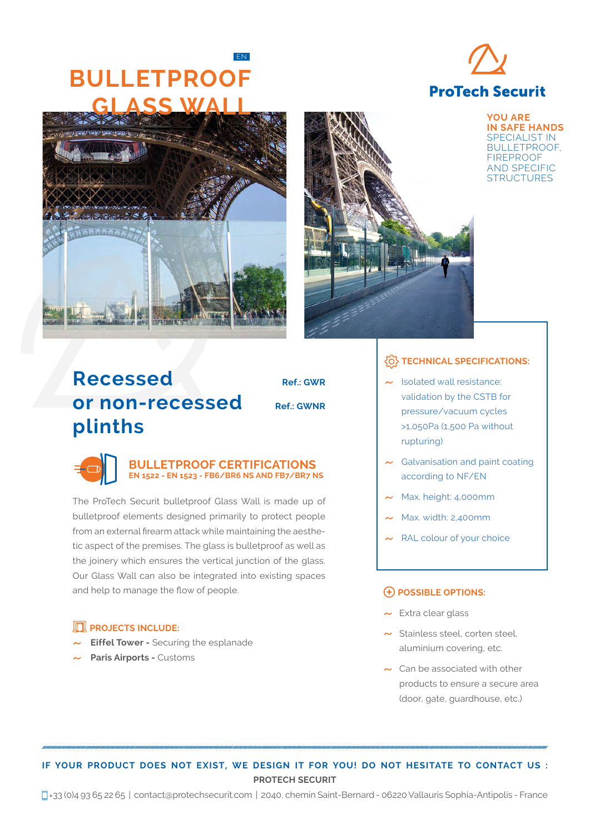## **FN BULLETPROOF GLASS WALL**







**YOU ARE IN SAFE HANDS**  SPECIALIST IN BULLETPROOF, FIREPROOF AND SPECIFIC **STRUCTURES** 

# **Recessed Ref.: GWR or non-recessed Ref.: GWNR plinths**

### **BULLETPROOF CERTIFICATIONS EN 1522 - EN 1523 - FB6/BR6 NS AND FB7/BR7 NS**

The ProTech Securit bulletproof Glass Wall is made up of bulletproof elements designed primarily to protect people from an external firearm attack while maintaining the aesthetic aspect of the premises. The glass is bulletproof as well as the joinery which ensures the vertical junction of the glass. Our Glass Wall can also be integrated into existing spaces and help to manage the flow of people.

## **PROJECTS INCLUDE:**

- **Eiffel Tower Securing the esplanade**
- ˜ **Paris Airports** Customs

## **TECHNICAL SPECIFICATIONS:**

- ˜ Isolated wall resistance: validation by the CSTB for pressure/vacuum cycles >1,050Pa (1,500 Pa without rupturing)
- $\sim$  Galvanisation and paint coating according to NF/EN
- Max. height: 4,000mm
- ˜ Max. width: 2,400mm
- RAL colour of your choice

#### **POSSIBLE OPTIONS:**

- $\sim$  Extra clear glass
- $\sim$  Stainless steel, corten steel, aluminium covering, etc.
- ˜ Can be associated with other products to ensure a secure area (door, gate, guardhouse, etc.)

## **IF YOUR PRODUCT DOES NOT EXIST, WE DESIGN IT FOR YOU! DO NOT HESITATE TO CONTACT US : PROTECH SECURIT**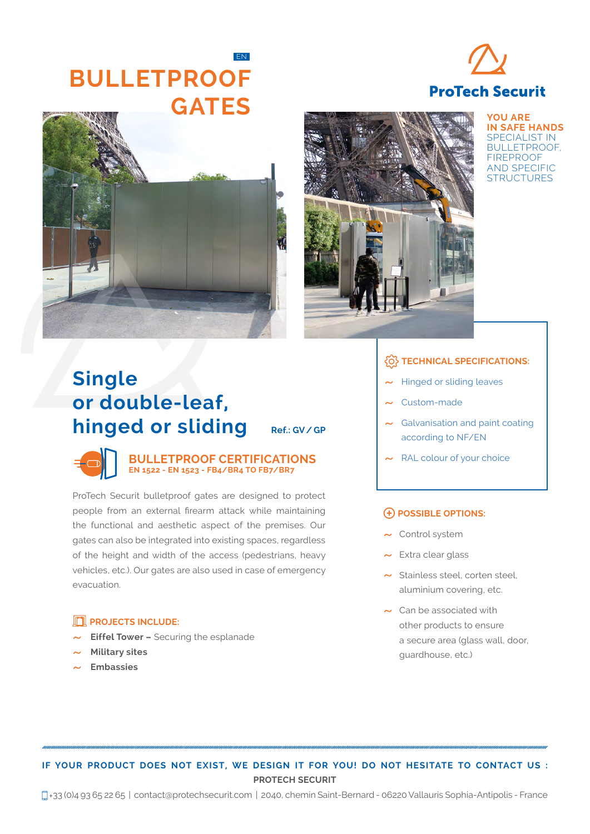## **FN BULLETPROOF GATES**







**YOU ARE IN SAFE HANDS**  SPECIALIST IN BULLETPROOF, FIREPROOF AND SPECIFIC **STRUCTURES** 

## **TECHNICAL SPECIFICATIONS:**

- **Hinged or sliding leaves**
- Custom-made
- Galvanisation and paint coating according to NF/EN
- 

#### **POSSIBLE OPTIONS:**

- $\sim$  Control system
- $\sim$  Extra clear glass
- $\sim$  Stainless steel, corten steel, aluminium covering, etc.
- $\sim$  Can be associated with other products to ensure a secure area (glass wall, door, guardhouse, etc.)

# **Single or double-leaf, hinged or sliding** Ref.: GV/GP

**BULLETPROOF CERTIFICATIONS**  $\sim$  RAL colour of your choice **EN 1522 - EN 1523 - FB4/BR4 TO FB7/BR7**

ProTech Securit bulletproof gates are designed to protect people from an external firearm attack while maintaining the functional and aesthetic aspect of the premises. Our gates can also be integrated into existing spaces, regardless of the height and width of the access (pedestrians, heavy vehicles, etc.). Our gates are also used in case of emergency evacuation.

## **PROJECTS INCLUDE:**

- **Eiffel Tower –** Securing the esplanade<br>**Military sites**
- $\sim$  Military sites<br> $\sim$  Embassies
- ˜ **Embassies**

## **IF YOUR PRODUCT DOES NOT EXIST, WE DESIGN IT FOR YOU! DO NOT HESITATE TO CONTACT US : PROTECH SECURIT**

+33 (0)4 93 65 22 65 | contact@protechsecurit.com | 2040, chemin Saint-Bernard - 06220 Vallauris Sophia-Antipolis - France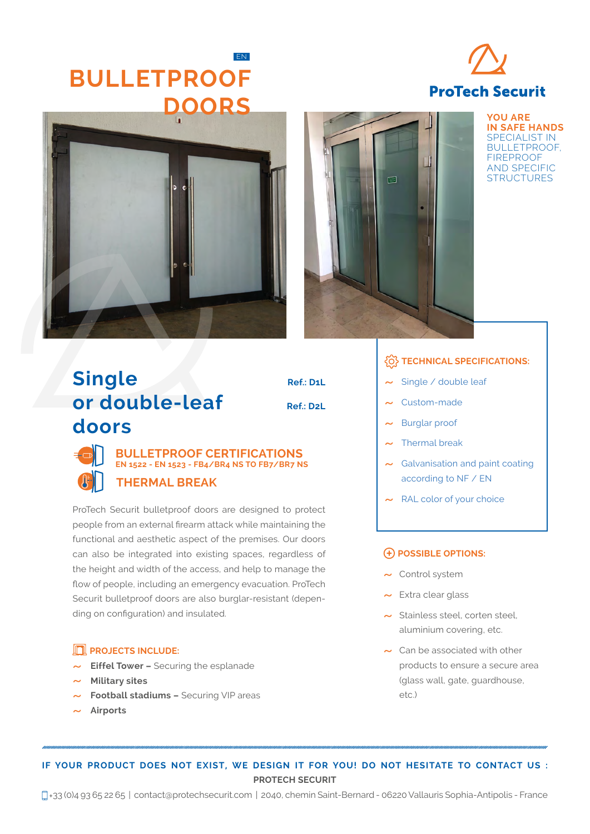## **FN BULLETPROOF DOORS**







**YOU ARE IN SAFE HANDS**  SPECIALIST IN BULLETPROOF, FIREPROOF AND SPECIFIC **STRUCTURES** 

# **Single Ref.: D1L or double-leaf Ref.: D2L doors**



## **BULLETPROOF CERTIFICATIONS EN 1522 - EN 1523 - FB4/BR4 NS TO FB7/BR7 NS THERMAL BREAK**

ProTech Securit bulletproof doors are designed to protect people from an external firearm attack while maintaining the functional and aesthetic aspect of the premises. Our doors can also be integrated into existing spaces, regardless of the height and width of the access, and help to manage the flow of people, including an emergency evacuation. ProTech Securit bulletproof doors are also burglar-resistant (depending on configuration) and insulated.

## **PROJECTS INCLUDE:**

- **Eiffel Tower –** Securing the esplanade<br>**Military sites**
- 
- ˜ **Military sites** ˜ **Football stadiums –** Securing VIP areas
- ˜ **Airports**

## **TECHNICAL SPECIFICATIONS:**

- Single / double leaf
- Custom-made
- Burglar proof<br>Thermal break
- $\sim$  Thermal break<br> $\sim$  Galvanisation at
- $\sim$  Galvanisation and paint coating<br>according to NF / EN according to NF / EN
- $\sim$  RAL color of your choice

#### **POSSIBLE OPTIONS:**

- $\sim$  Control system
- $\sim$  Extra clear glass
- $\sim$  Stainless steel, corten steel, aluminium covering, etc.
- ˜ Can be associated with other products to ensure a secure area (glass wall, gate, guardhouse, etc.)

## **IF YOUR PRODUCT DOES NOT EXIST, WE DESIGN IT FOR YOU! DO NOT HESITATE TO CONTACT US : PROTECH SECURIT**

+33 (0)4 93 65 22 65 | contact@protechsecurit.com | 2040, chemin Saint-Bernard - 06220 Vallauris Sophia-Antipolis - France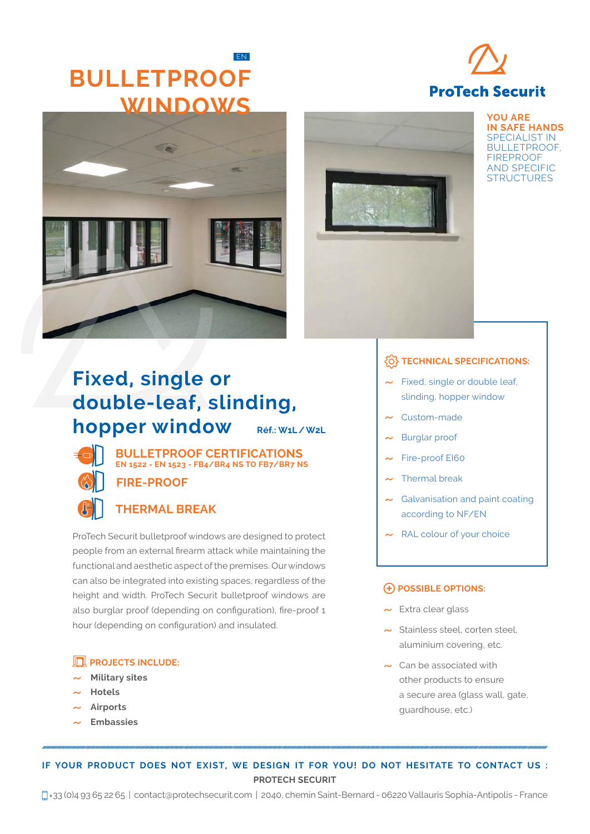## **FN BULLETPROOF WINDOWS**







**YOU ARE IN SAFE HANDS**  SPECIALIST IN BULLETPROOF, FIREPROOF AND SPECIFIC **STRUCTURES** 

# **Fixed, single or double-leaf, slinding, hopper window Réf.: W1L/W2L**



**BULLETPROOF CERTIFICATIONS EN 1522 - EN 1523 - FB4/BR4 NS TO FB7/BR7 NS FIRE-PROOF**

## **THERMAL BREAK**

ProTech Securit bulletproof windows are designed to protect people from an external firearm attack while maintaining the functional and aesthetic aspect of the premises. Our windows can also be integrated into existing spaces, regardless of the height and width. ProTech Securit bulletproof windows are also burglar proof (depending on configuration), fire-proof 1 hour (depending on configuration) and insulated.

## **PROJECTS INCLUDE:**

- ˜ **Military sites**
- 
- **Airports**
- ˜ **Airports** ˜ **Embassies**

### *<u>FO</u>* **TECHNICAL SPECIFICATIONS:**

- $\sim$  Fixed, single or double leaf. slinding, hopper window
- Custom-made
- **Burglar proof**
- Fire-proof EI60<br>Thermal break
- $\sim$  Thermal break<br> $\sim$  Galvanisation is
- $\sim$  Galvanisation and paint coating<br>according to NF/EN according to NF/EN
- $\sim$  RAL colour of your choice

#### **POSSIBLE OPTIONS:**

- 
- $\sim$  Extra clear glass<br> $\sim$  Stainless steel, corten steel. ˜ Stainless steel, corten steel, aluminium covering, etc.
- ˜ Can be associated with other products to ensure a secure area (glass wall, gate, guardhouse, etc.)

**IF YOUR PRODUCT DOES NOT EXIST, WE DESIGN IT FOR YOU! DO NOT HESITATE TO CONTACT US : PROTECH SECURIT**